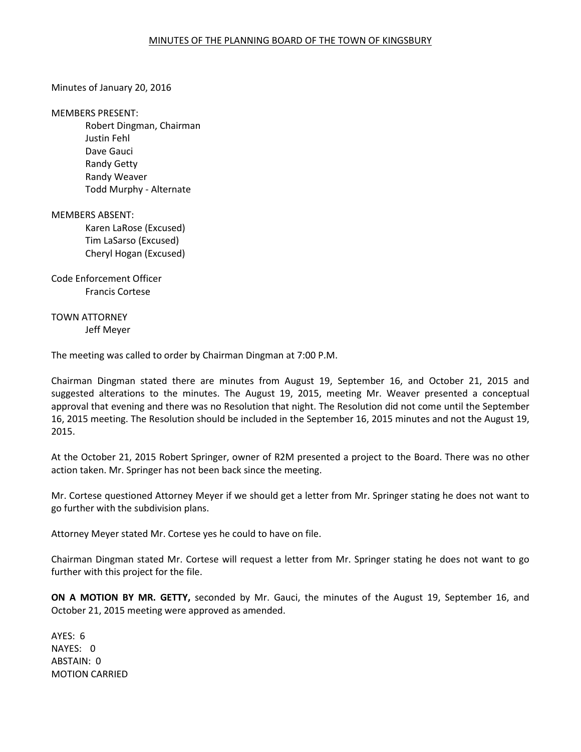## Minutes of January 20, 2016

#### MEMBERS PRESENT:

 Robert Dingman, Chairman Justin Fehl Dave Gauci Randy Getty Randy Weaver Todd Murphy - Alternate

### MEMBERS ABSENT:

Karen LaRose (Excused) Tim LaSarso (Excused) Cheryl Hogan (Excused)

# Code Enforcement Officer Francis Cortese

## TOWN ATTORNEY Jeff Meyer

The meeting was called to order by Chairman Dingman at 7:00 P.M.

Chairman Dingman stated there are minutes from August 19, September 16, and October 21, 2015 and suggested alterations to the minutes. The August 19, 2015, meeting Mr. Weaver presented a conceptual approval that evening and there was no Resolution that night. The Resolution did not come until the September 16, 2015 meeting. The Resolution should be included in the September 16, 2015 minutes and not the August 19, 2015.

At the October 21, 2015 Robert Springer, owner of R2M presented a project to the Board. There was no other action taken. Mr. Springer has not been back since the meeting.

Mr. Cortese questioned Attorney Meyer if we should get a letter from Mr. Springer stating he does not want to go further with the subdivision plans.

Attorney Meyer stated Mr. Cortese yes he could to have on file.

Chairman Dingman stated Mr. Cortese will request a letter from Mr. Springer stating he does not want to go further with this project for the file.

**ON A MOTION BY MR. GETTY,** seconded by Mr. Gauci, the minutes of the August 19, September 16, and October 21, 2015 meeting were approved as amended.

AYES: 6 NAYES: 0 ABSTAIN: 0 MOTION CARRIED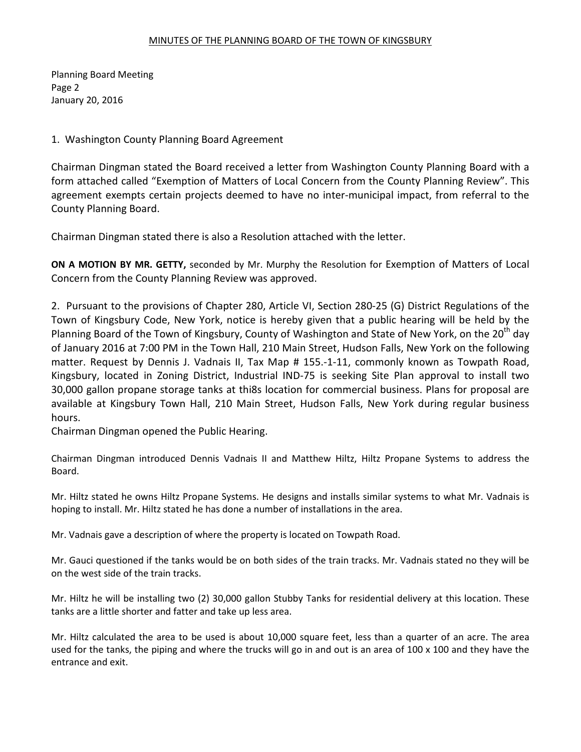## MINUTES OF THE PLANNING BOARD OF THE TOWN OF KINGSBURY

Planning Board Meeting Page 2 January 20, 2016

## 1. Washington County Planning Board Agreement

Chairman Dingman stated the Board received a letter from Washington County Planning Board with a form attached called "Exemption of Matters of Local Concern from the County Planning Review". This agreement exempts certain projects deemed to have no inter-municipal impact, from referral to the County Planning Board.

Chairman Dingman stated there is also a Resolution attached with the letter.

**ON A MOTION BY MR. GETTY,** seconded by Mr. Murphy the Resolution for Exemption of Matters of Local Concern from the County Planning Review was approved.

2. Pursuant to the provisions of Chapter 280, Article VI, Section 280-25 (G) District Regulations of the Town of Kingsbury Code, New York, notice is hereby given that a public hearing will be held by the Planning Board of the Town of Kingsbury, County of Washington and State of New York, on the 20<sup>th</sup> day of January 2016 at 7:00 PM in the Town Hall, 210 Main Street, Hudson Falls, New York on the following matter. Request by Dennis J. Vadnais II, Tax Map # 155.-1-11, commonly known as Towpath Road, Kingsbury, located in Zoning District, Industrial IND-75 is seeking Site Plan approval to install two 30,000 gallon propane storage tanks at thi8s location for commercial business. Plans for proposal are available at Kingsbury Town Hall, 210 Main Street, Hudson Falls, New York during regular business hours.

Chairman Dingman opened the Public Hearing.

Chairman Dingman introduced Dennis Vadnais II and Matthew Hiltz, Hiltz Propane Systems to address the Board.

Mr. Hiltz stated he owns Hiltz Propane Systems. He designs and installs similar systems to what Mr. Vadnais is hoping to install. Mr. Hiltz stated he has done a number of installations in the area.

Mr. Vadnais gave a description of where the property is located on Towpath Road.

Mr. Gauci questioned if the tanks would be on both sides of the train tracks. Mr. Vadnais stated no they will be on the west side of the train tracks.

Mr. Hiltz he will be installing two (2) 30,000 gallon Stubby Tanks for residential delivery at this location. These tanks are a little shorter and fatter and take up less area.

Mr. Hiltz calculated the area to be used is about 10,000 square feet, less than a quarter of an acre. The area used for the tanks, the piping and where the trucks will go in and out is an area of 100 x 100 and they have the entrance and exit.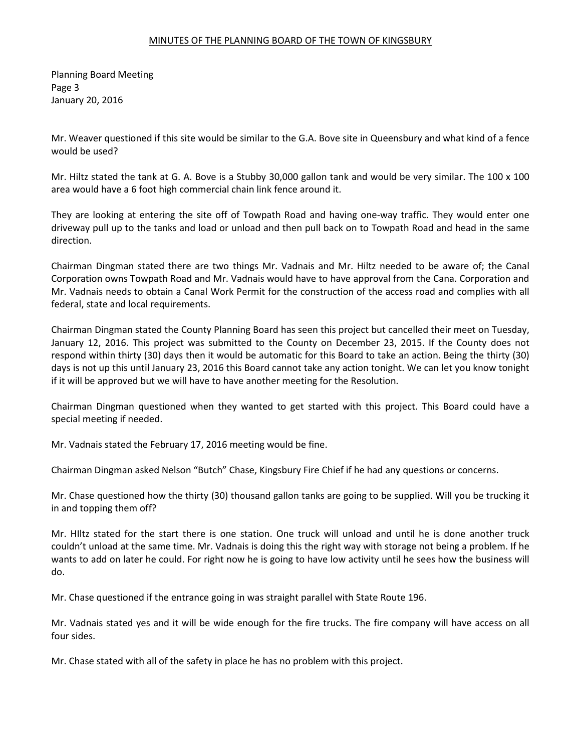### MINUTES OF THE PLANNING BOARD OF THE TOWN OF KINGSBURY

Planning Board Meeting Page 3 January 20, 2016

Mr. Weaver questioned if this site would be similar to the G.A. Bove site in Queensbury and what kind of a fence would be used?

Mr. Hiltz stated the tank at G. A. Bove is a Stubby 30,000 gallon tank and would be very similar. The 100 x 100 area would have a 6 foot high commercial chain link fence around it.

They are looking at entering the site off of Towpath Road and having one-way traffic. They would enter one driveway pull up to the tanks and load or unload and then pull back on to Towpath Road and head in the same direction.

Chairman Dingman stated there are two things Mr. Vadnais and Mr. Hiltz needed to be aware of; the Canal Corporation owns Towpath Road and Mr. Vadnais would have to have approval from the Cana. Corporation and Mr. Vadnais needs to obtain a Canal Work Permit for the construction of the access road and complies with all federal, state and local requirements.

Chairman Dingman stated the County Planning Board has seen this project but cancelled their meet on Tuesday, January 12, 2016. This project was submitted to the County on December 23, 2015. If the County does not respond within thirty (30) days then it would be automatic for this Board to take an action. Being the thirty (30) days is not up this until January 23, 2016 this Board cannot take any action tonight. We can let you know tonight if it will be approved but we will have to have another meeting for the Resolution.

Chairman Dingman questioned when they wanted to get started with this project. This Board could have a special meeting if needed.

Mr. Vadnais stated the February 17, 2016 meeting would be fine.

Chairman Dingman asked Nelson "Butch" Chase, Kingsbury Fire Chief if he had any questions or concerns.

Mr. Chase questioned how the thirty (30) thousand gallon tanks are going to be supplied. Will you be trucking it in and topping them off?

Mr. HIltz stated for the start there is one station. One truck will unload and until he is done another truck couldn't unload at the same time. Mr. Vadnais is doing this the right way with storage not being a problem. If he wants to add on later he could. For right now he is going to have low activity until he sees how the business will do.

Mr. Chase questioned if the entrance going in was straight parallel with State Route 196.

Mr. Vadnais stated yes and it will be wide enough for the fire trucks. The fire company will have access on all four sides.

Mr. Chase stated with all of the safety in place he has no problem with this project.